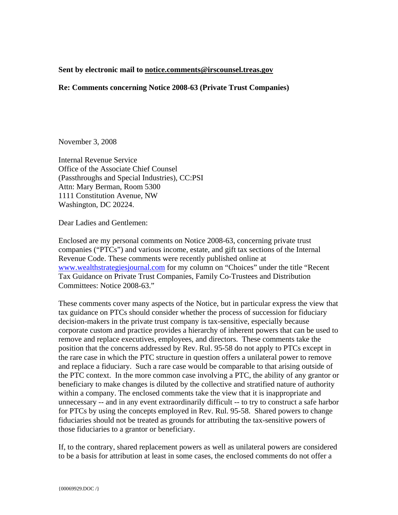## **Sent by electronic mail to notice.comments@irscounsel.treas.gov**

## **Re: Comments concerning Notice 2008-63 (Private Trust Companies)**

November 3, 2008

Internal Revenue Service Office of the Associate Chief Counsel (Passthroughs and Special Industries), CC:PSI Attn: Mary Berman, Room 5300 1111 Constitution Avenue, NW Washington, DC 20224.

Dear Ladies and Gentlemen:

Enclosed are my personal comments on Notice 2008-63, concerning private trust companies ("PTCs") and various income, estate, and gift tax sections of the Internal Revenue Code. These comments were recently published online at www.wealthstrategiesjournal.com for my column on "Choices" under the title "Recent Tax Guidance on Private Trust Companies, Family Co-Trustees and Distribution Committees: Notice 2008-63."

These comments cover many aspects of the Notice, but in particular express the view that tax guidance on PTCs should consider whether the process of succession for fiduciary decision-makers in the private trust company is tax-sensitive, especially because corporate custom and practice provides a hierarchy of inherent powers that can be used to remove and replace executives, employees, and directors. These comments take the position that the concerns addressed by Rev. Rul. 95-58 do not apply to PTCs except in the rare case in which the PTC structure in question offers a unilateral power to remove and replace a fiduciary. Such a rare case would be comparable to that arising outside of the PTC context. In the more common case involving a PTC, the ability of any grantor or beneficiary to make changes is diluted by the collective and stratified nature of authority within a company. The enclosed comments take the view that it is inappropriate and unnecessary -- and in any event extraordinarily difficult -- to try to construct a safe harbor for PTCs by using the concepts employed in Rev. Rul. 95-58. Shared powers to change fiduciaries should not be treated as grounds for attributing the tax-sensitive powers of those fiduciaries to a grantor or beneficiary.

If, to the contrary, shared replacement powers as well as unilateral powers are considered to be a basis for attribution at least in some cases, the enclosed comments do not offer a